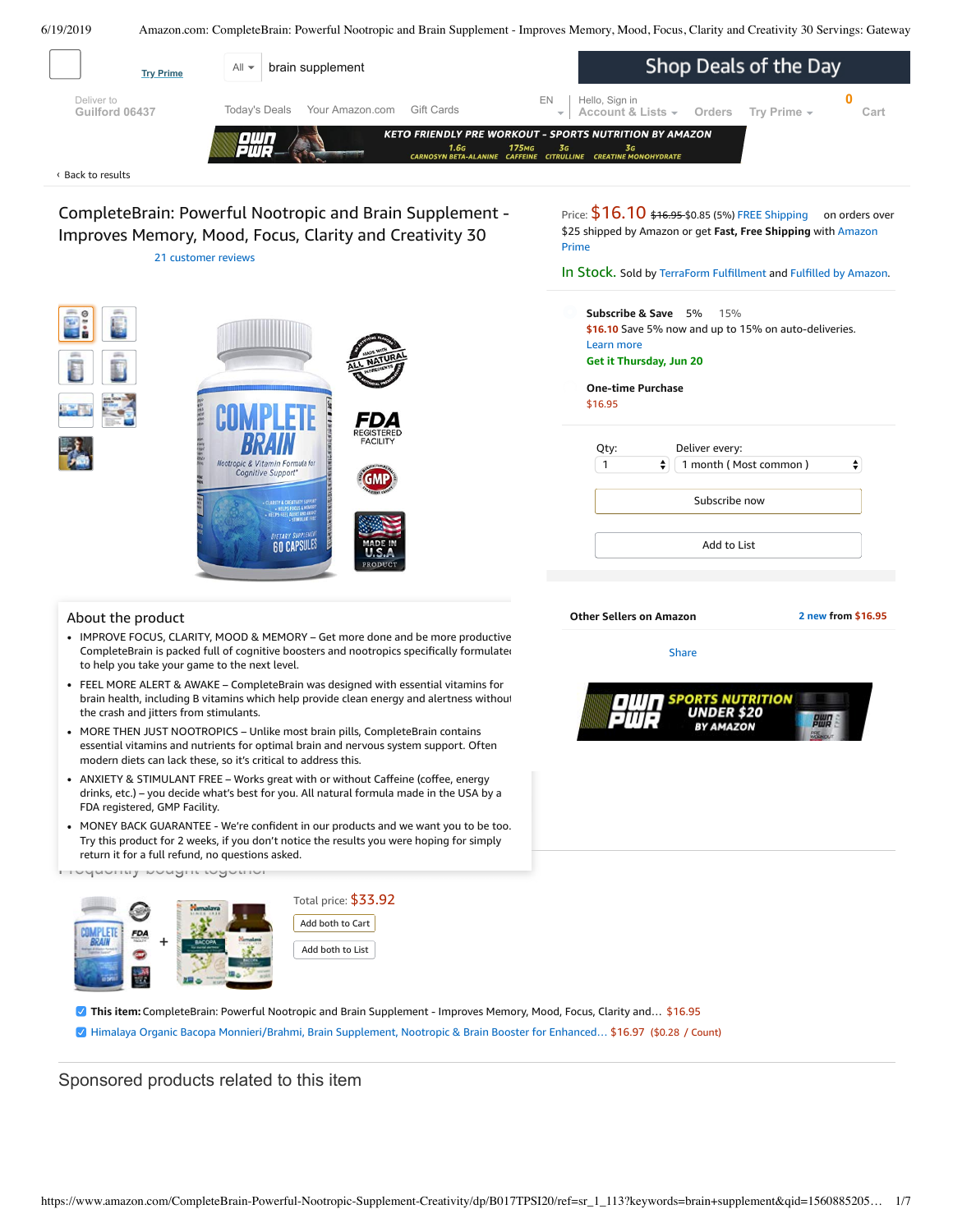<span id="page-0-0"></span>

- ANXIETY & [STIMULANT](https://www.amazon.com/gp/redirect.html/ref=amb_link_1?_encoding=UTF8&location=https%3A%2F%2Fwww.amazon.com%2Fb%3Fnode%3D17904040011&source=standards&token=BE1FBDC111DBAC62750B07A4AFAFEF6D1A082253&pf_rd_m=ATVPDKIKX0DER&pf_rd_s=product-alert&pf_rd_r=NTRGNJYRB98CYPK434JA&pf_rd_r=NTRGNJYRB98CYPK434JA&pf_rd_t=201&pf_rd_p=82fa76b4-9a2f-4417-8a70-702f37d37a30&pf_rd_p=82fa76b4-9a2f-4417-8a70-702f37d37a30&pf_rd_i=B017TPSI20) FREE Works great with or without Caffeine (coffee, energy drinks, etc.) – you decide what's best for you. All natural formula made in the USA by a FDA registered, GMP Facility.
- MONEY BACK GUARANTEE We're confident in our products and we want you to be too. Try this product for 2 weeks, if you don't notice the results you were hoping for simply return it for a full refund, no questions asked.

Frequently bought together



**This item:** CompleteBrain: Powerful Nootropic and Brain Supplement - Improves Memory, Mood, Focus, Clarity and… \$16.95

Himalaya Organic Bacopa [Monnieri/Brahmi,](https://www.amazon.com/Himalaya-Monnieri-Supplement-Nootropic-Enhanced/dp/B0006NZPGA/ref=pd_bxgy_2/143-6729050-3493109?_encoding=UTF8&pd_rd_i=B0006NZPGA&pd_rd_r=d4725938-92aa-11e9-87cf-a7abbaf07c71&pd_rd_w=CJOCu&pd_rd_wg=nfEEw&pf_rd_p=a2006322-0bc0-4db9-a08e-d168c18ce6f0&pf_rd_r=NTRGNJYRB98CYPK434JA&psc=1&refRID=NTRGNJYRB98CYPK434JA) Brain Supplement, Nootropic & Brain Booster for Enhanced… \$16.97 (\$0.28 / Count)

## Sponsored products related to this item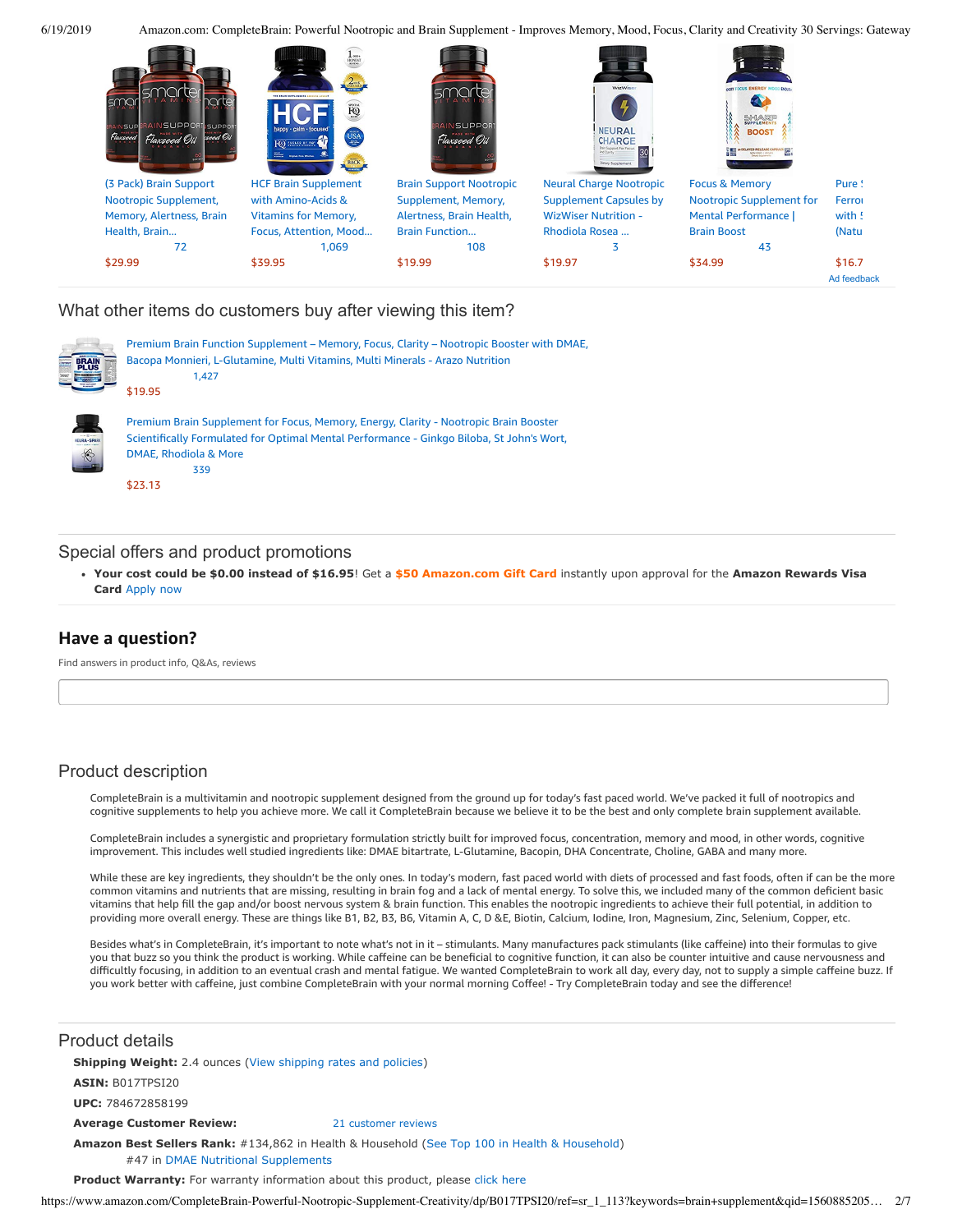

## What other items do customers buy after viewing this item?



Premium Brain Function Supplement – Memory, Focus, Clarity – Nootropic Booster with DMAE, Bacopa Monnieri, [L-Glutamine,](https://www.amazon.com/Premium-Brain-Function-Supplement-L-Glutamine/dp/B01GV4IC4Y/ref=pd_cp_121_1?pd_rd_w=OI6Q9&pf_rd_p=ef4dc990-a9ca-4945-ae0b-f8d549198ed6&pf_rd_r=NTRGNJYRB98CYPK434JA&pd_rd_r=d4725938-92aa-11e9-87cf-a7abbaf07c71&pd_rd_wg=nfEEw&pd_rd_i=B01GV4IC4Y&psc=1&refRID=NTRGNJYRB98CYPK434JA) Multi Vitamins, Multi Minerals - Arazo Nutrition [1,427](https://www.amazon.com/product-reviews/B01GV4IC4Y/ref=pd_cp_121_1?pd_rd_w=OI6Q9&pf_rd_p=ef4dc990-a9ca-4945-ae0b-f8d549198ed6&pf_rd_r=NTRGNJYRB98CYPK434JA&pd_rd_r=d4725938-92aa-11e9-87cf-a7abbaf07c71&pd_rd_wg=nfEEw&pd_rd_i=B01GV4IC4Y&refRID=NTRGNJYRB98CYPK434JA) [\\$19.95](https://www.amazon.com/Premium-Brain-Function-Supplement-L-Glutamine/dp/B01GV4IC4Y/ref=pd_cp_121_1?pd_rd_w=OI6Q9&pf_rd_p=ef4dc990-a9ca-4945-ae0b-f8d549198ed6&pf_rd_r=NTRGNJYRB98CYPK434JA&pd_rd_r=d4725938-92aa-11e9-87cf-a7abbaf07c71&pd_rd_wg=nfEEw&pd_rd_i=B01GV4IC4Y&psc=1&refRID=NTRGNJYRB98CYPK434JA)



Premium Brain Supplement for Focus, Memory, Energy, Clarity - Nootropic Brain Booster Scientifically Formulated for Optimal Mental [Performance](https://www.amazon.com/Premium-Supplement-Memory-Energy-Clarity/dp/B072FH9YDV/ref=pd_cp_121_2?pd_rd_w=OI6Q9&pf_rd_p=ef4dc990-a9ca-4945-ae0b-f8d549198ed6&pf_rd_r=NTRGNJYRB98CYPK434JA&pd_rd_r=d4725938-92aa-11e9-87cf-a7abbaf07c71&pd_rd_wg=nfEEw&pd_rd_i=B072FH9YDV&psc=1&refRID=NTRGNJYRB98CYPK434JA) - Ginkgo Biloba, St John's Wort, DMAE, Rhodiola & More [339](https://www.amazon.com/product-reviews/B072FH9YDV/ref=pd_cp_121_2?pd_rd_w=OI6Q9&pf_rd_p=ef4dc990-a9ca-4945-ae0b-f8d549198ed6&pf_rd_r=NTRGNJYRB98CYPK434JA&pd_rd_r=d4725938-92aa-11e9-87cf-a7abbaf07c71&pd_rd_wg=nfEEw&pd_rd_i=B072FH9YDV&refRID=NTRGNJYRB98CYPK434JA)

[\\$23.13](https://www.amazon.com/Premium-Supplement-Memory-Energy-Clarity/dp/B072FH9YDV/ref=pd_cp_121_2?pd_rd_w=OI6Q9&pf_rd_p=ef4dc990-a9ca-4945-ae0b-f8d549198ed6&pf_rd_r=NTRGNJYRB98CYPK434JA&pd_rd_r=d4725938-92aa-11e9-87cf-a7abbaf07c71&pd_rd_wg=nfEEw&pd_rd_i=B072FH9YDV&psc=1&refRID=NTRGNJYRB98CYPK434JA)

## Special offers and product promotions

**[Your cost could be \\$0.00 instead of \\$16.95](https://www.amazon.com/gp/cobrandcard/marketing.html?pr=con321&inc=50gcUnrec&ts=eqtdab6anjy1b8x02px16jlb5yresrf&dasin=B017TPSI20&plattr=math&place=detailpage&imp=2075d5ba-9104-4abd-ab86-078ff96439be)**! Get a **\$50 Amazon.com Gift Card** instantly upon approval for the **Amazon Rewards Visa Card** Apply now

# **Have a question?**

Find answers in product info, Q&As, reviews

# Product description

CompleteBrain is a multivitamin and nootropic supplement designed from the ground up for today's fast paced world. We've packed it full of nootropics and cognitive supplements to help you achieve more. We call it CompleteBrain because we believe it to be the best and only complete brain supplement available.

CompleteBrain includes a synergistic and proprietary formulation strictly built for improved focus, concentration, memory and mood, in other words, cognitive improvement. This includes well studied ingredients like: DMAE bitartrate, L-Glutamine, Bacopin, DHA Concentrate, Choline, GABA and many more.

While these are key ingredients, they shouldn't be the only ones. In today's modern, fast paced world with diets of processed and fast foods, often if can be the more common vitamins and nutrients that are missing, resulting in brain fog and a lack of mental energy. To solve this, we included many of the common deficient basic vitamins that help fill the gap and/or boost nervous system & brain function. This enables the nootropic ingredients to achieve their full potential, in addition to providing more overall energy. These are things like B1, B2, B3, B6, Vitamin A, C, D &E, Biotin, Calcium, Iodine, Iron, Magnesium, Zinc, Selenium, Copper, etc.

Besides what's in CompleteBrain, it's important to note what's not in it – stimulants. Many manufactures pack stimulants (like caffeine) into their formulas to give you that buzz so you think the product is working. While caffeine can be beneficial to cognitive function, it can also be counter intuitive and cause nervousness and difficultly focusing, in addition to an eventual crash and mental fatigue. We wanted CompleteBrain to work all day, every day, not to supply a simple caffeine buzz. If you work better with caffeine, just combine CompleteBrain with your normal morning Coffee! - Try CompleteBrain today and see the difference!

## Product details

**Shipping Weight:** 2.4 ounces [\(View shipping rates and policies\)](https://www.amazon.com/gp/help/seller/shipping.html/ref=dp_pd_shipping?ie=UTF8&asin=B017TPSI20&seller=ATVPDKIKX0DER)

**ASIN:** B017TPSI20

**UPC:** 784672858199

#### **Average Customer Review:** [21 customer reviews](https://www.amazon.com/product-reviews/B017TPSI20/ref=acr_dpproductdetail_text?ie=UTF8&showViewpoints=1)

**Amazon Best Sellers Rank:** #134,862 in Health & Household [\(See Top 100 in Health & Household](https://www.amazon.com/gp/bestsellers/hpc/ref=pd_zg_ts_hpc)) #47 in [DMAE Nutritional Supplements](https://www.amazon.com/gp/bestsellers/hpc/3773461/ref=pd_zg_hrsr_hpc)

Product Warranty: For warranty information about this product, please [click here](https://www.amazon.com/gp/feature.html/ref=dp_warranty_request_3P?ie=UTF8&docId=1002406021)

https://www.amazon.com/CompleteBrain-Powerful-Nootropic-Supplement-Creativity/dp/B017TPSI20/ref=sr\_1\_113?keywords=brain+supplement&qid=1560885205… 2/7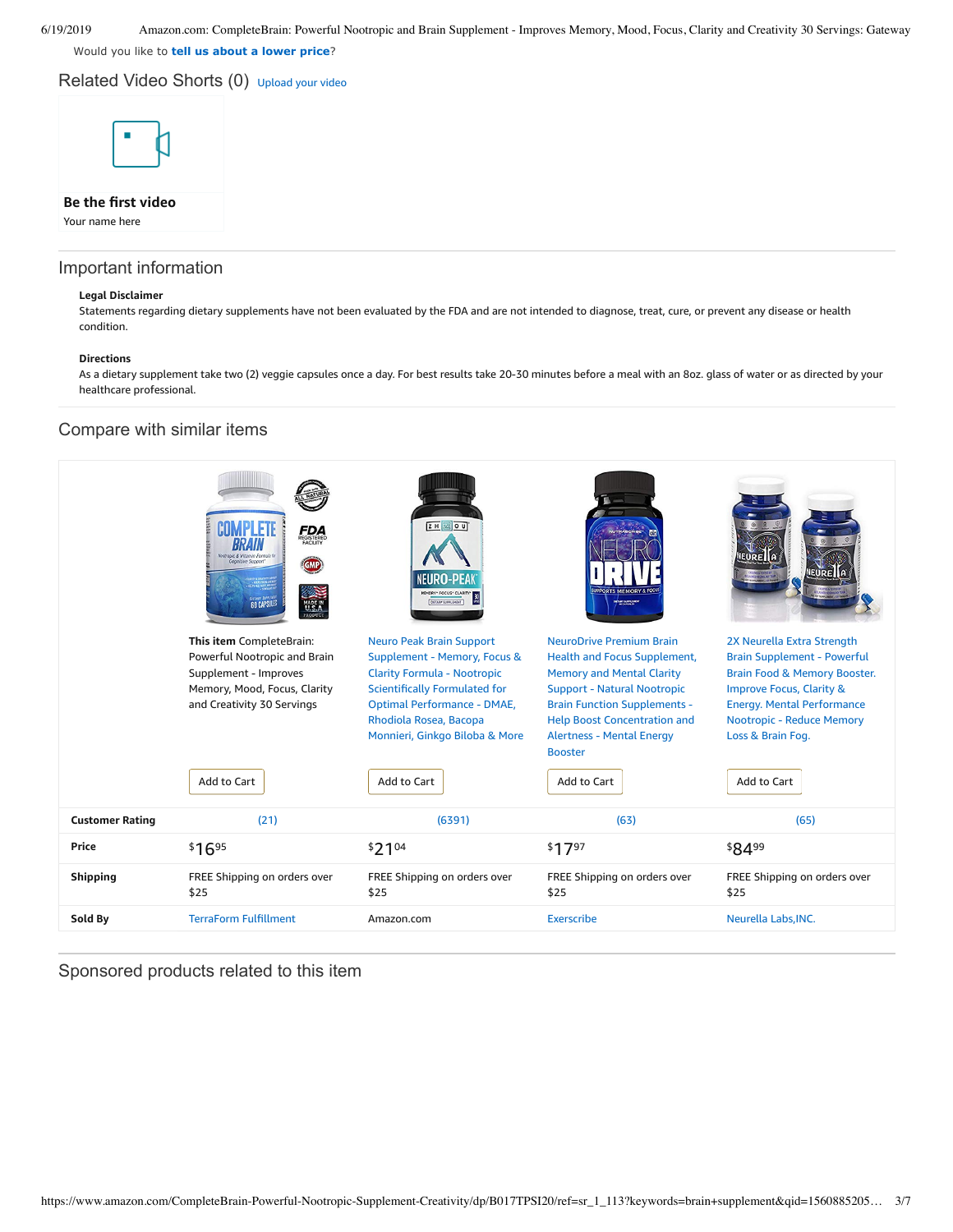Would you like to **tell us about a lower price**?

Related Video Shorts (0) [Upload](https://www.amazon.com/creatorhub/video/upload?productASIN=B017TPSI20&referringURL=ZHAvQjAxN1RQU0kyMA%3D%3D&ref=RVSW) your video



# **Be the first video**

Your name here

## Important information

## **Legal Disclaimer**

Statements regarding dietary supplements have not been evaluated by the FDA and are not intended to diagnose, treat, cure, or prevent any disease or health condition.

## **Directions**

As a dietary supplement take two (2) veggie capsules once a day. For best results take 20-30 minutes before a meal with an 8oz. glass of water or as directed by your healthcare professional.

## Compare with similar items



Sponsored products related to this item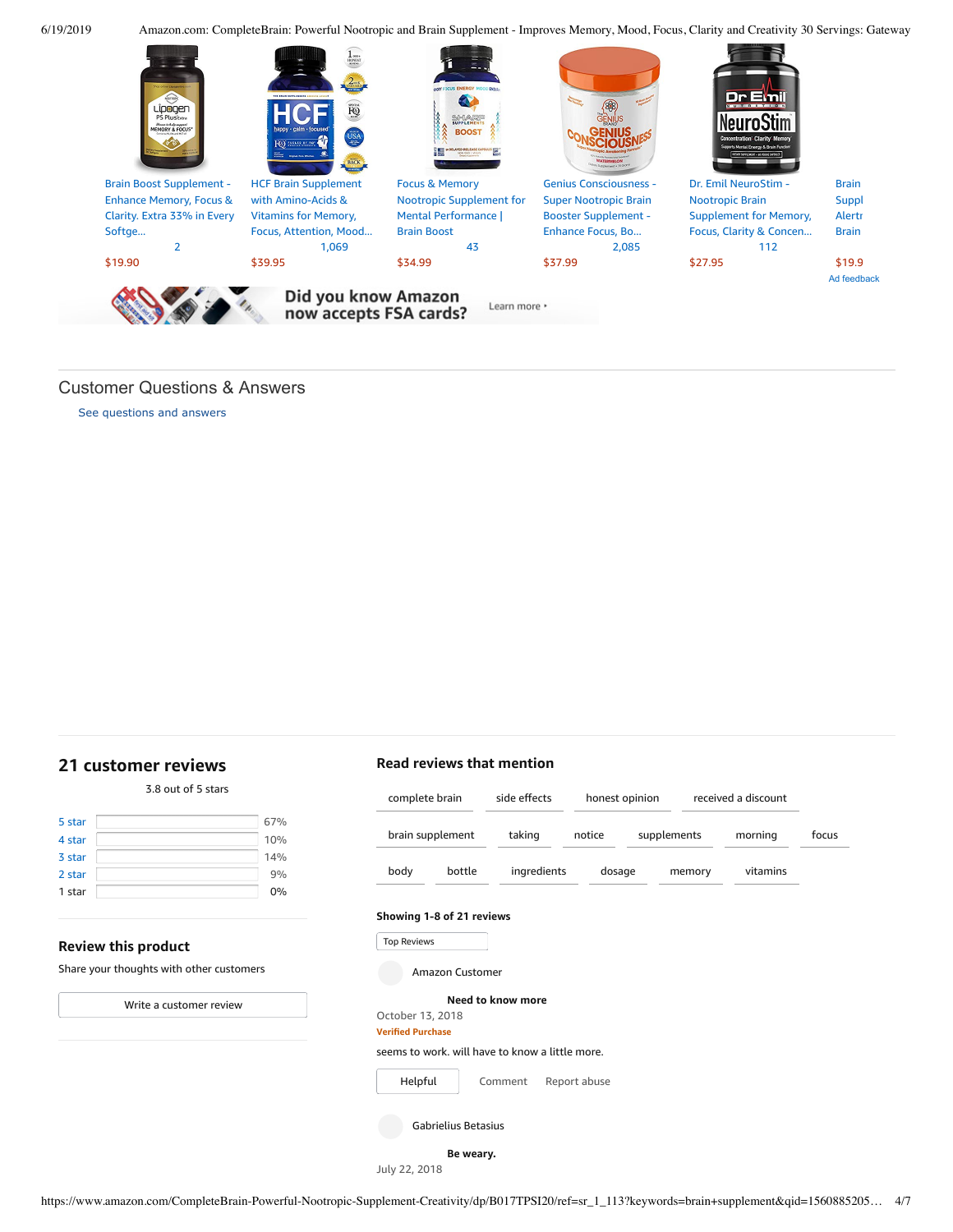

# Customer Questions & Answers

[See questions and answers](https://www.amazon.com/ask/questions/asin/B017TPSI20/ref=cm_cd_dp_lla_ql_ll)

# <span id="page-3-0"></span>**[21 customer](https://www.amazon.com/CompleteBrain-Powerful-Nootropic-Supplement-Creativity/product-reviews/B017TPSI20/ref=cm_cr_dp_d_show_all_top?ie=UTF8&reviewerType=all_reviews) reviews**

|        | 3.8 out of 5 stars |     |
|--------|--------------------|-----|
| 5 star |                    | 67% |
| 4 star |                    | 10% |
| 3 star |                    | 14% |
| 2 star |                    | 9%  |
| 1 star |                    | 0%  |

## **Review this product**

Share your thoughts with other customers

Write a [customer](https://www.amazon.com/review/create-review/ref=cm_cr_dp_d_wr_but_top?ie=UTF8&channel=glance-detail&asin=B017TPSI20) review

# **Read reviews that mention**

| complete brain<br>brain supplement |                     | side effects                                    |              | honest opinion |        | received a discount |       |
|------------------------------------|---------------------|-------------------------------------------------|--------------|----------------|--------|---------------------|-------|
|                                    |                     | taking                                          | notice       | supplements    |        | morning             | focus |
| body                               | bottle              | ingredients                                     | dosage       |                | memory | vitamins            |       |
| Showing 1-8 of 21 reviews          |                     |                                                 |              |                |        |                     |       |
| <b>Top Reviews</b>                 |                     |                                                 |              |                |        |                     |       |
|                                    | Amazon Customer     |                                                 |              |                |        |                     |       |
|                                    |                     | Need to know more                               |              |                |        |                     |       |
| October 13, 2018                   |                     |                                                 |              |                |        |                     |       |
| <b>Verified Purchase</b>           |                     |                                                 |              |                |        |                     |       |
|                                    |                     | seems to work, will have to know a little more. |              |                |        |                     |       |
| Helpful                            |                     | Comment                                         | Report abuse |                |        |                     |       |
|                                    | Gabrielius Betasius |                                                 |              |                |        |                     |       |
|                                    | Be weary.           |                                                 |              |                |        |                     |       |

July 22, 2018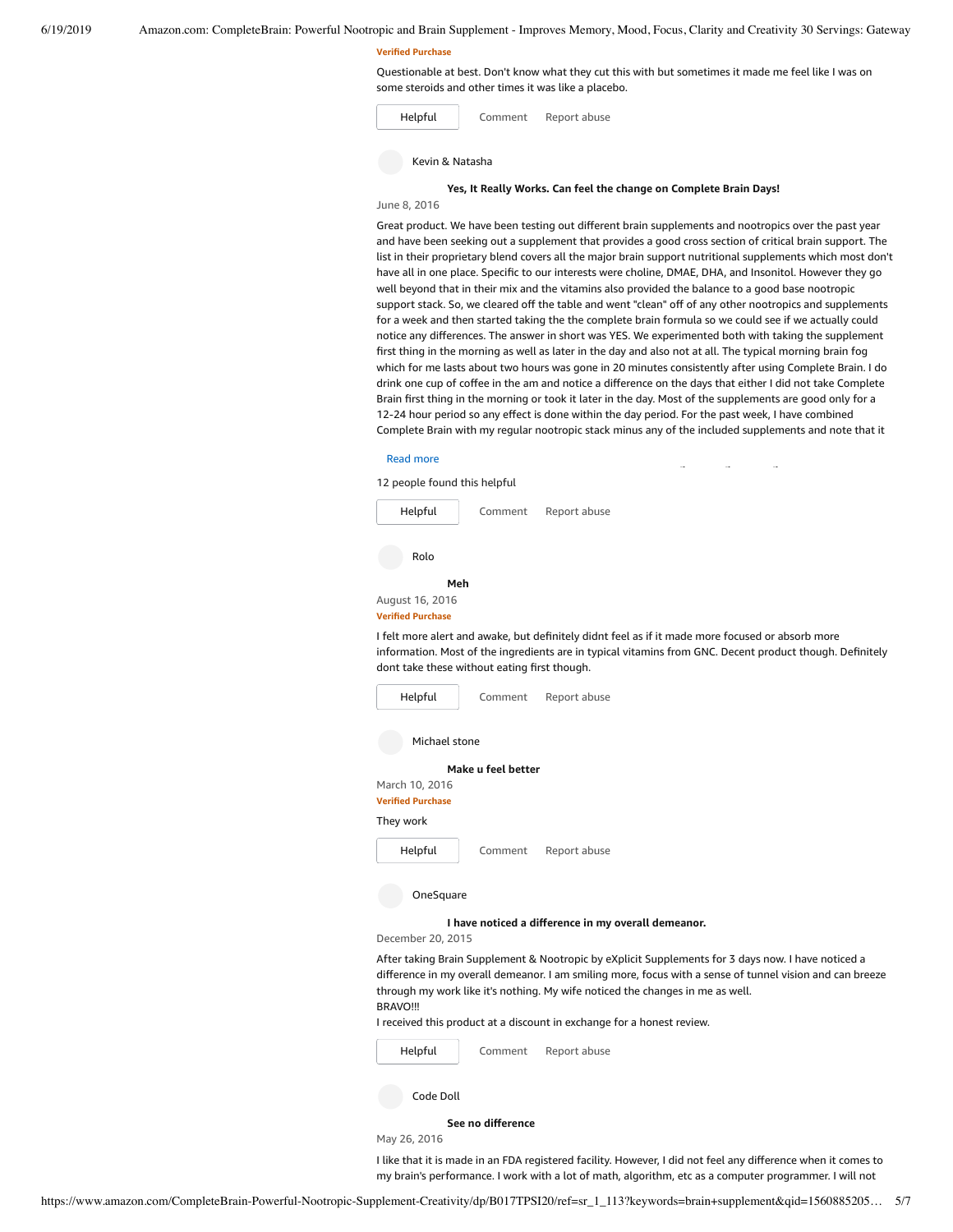#### **Verified Purchase**

Questionable at best. Don't know what they cut this with but sometimes it made me feel like I was on some steroids and other times it was like a placebo.

[Comment](https://www.amazon.com/gp/customer-reviews/R1ZOXHK3DQWLI2/ref=cm_cr_dp_d_rvw_btm?ie=UTF8&ASIN=B017TPSI20#wasThisHelpful) [Report](https://www.amazon.com/hz/reviews-render/report-abuse?ie=UTF8&voteDomain=Reviews&ref=cm_cr_dp_d_rvw_hlp&csrfT=gpoaFnzY9kHdejmFaa9c6NaKtzugeZoqsT%2BOPDkAAAABAAAAAF0KWzlyYXcAAAAA%2B4kUEk%2F7iMGR3xPcX6iU&entityId=R1ZOXHK3DQWLI2&sessionId=143-6729050-3493109) abuse [Helpful](https://www.amazon.com/ap/signin?openid.return_to=https%3A%2F%2Fwww.amazon.com%2Fdp%2FB017TPSI20%2Fref%3Dcm_cr_dp_d_vote_lft%3Fie%3DUTF8%26voteInstanceId%3DR1ZOXHK3DQWLI2%26voteValue%3D1%26csrfT%3DgpoaFnzY9kHdejmFaa9c6NaKtzugeZoqsT%252BOPDkAAAABAAAAAF0KWzlyYXcAAAAA%252B4kUEk%252F7iMGR3xPcX6iU%23R1ZOXHK3DQWLI2&openid.identity=http%3A%2F%2Fspecs.openid.net%2Fauth%2F2.0%2Fidentifier_select&openid.claimed_id=http%3A%2F%2Fspecs.openid.net%2Fauth%2F2.0%2Fidentifier_select&openid.assoc_handle=usflex&openid.mode=checkid_setup&openid.ns=http%3A%2F%2Fspecs.openid.net%2Fauth%2F2.0) Kevin & Natasha

## **Yes, It Really Works. Can feel the change on [Complete](https://www.amazon.com/gp/customer-reviews/R1D8RVHFENSSIM/ref=cm_cr_dp_d_rvw_ttl?ie=UTF8&ASIN=B017TPSI20) Brain Days!**

#### June 8, 2016

Great product. We have been testing out different brain supplements and nootropics over the past year and have been seeking out a supplement that provides a good cross section of critical brain support. The list in their proprietary blend covers all the major brain support nutritional supplements which most don't have all in one place. Specific to our interests were choline, DMAE, DHA, and Insonitol. However they go well beyond that in their mix and the vitamins also provided the balance to a good base nootropic support stack. So, we cleared off the table and went "clean" off of any other nootropics and supplements for a week and then started taking the the complete brain formula so we could see if we actually could notice any differences. The answer in short was YES. We experimented both with taking the supplement first thing in the morning as well as later in the day and also not at all. The typical morning brain fog which for me lasts about two hours was gone in 20 minutes consistently after using Complete Brain. I do drink one cup of coffee in the am and notice a difference on the days that either I did not take Complete Brain first thing in the morning or took it later in the day. Most of the supplements are good only for a 12-24 hour period so any effect is done within the day period. For the past week, I have combined Complete Brain with my regular nootropic stack minus any of the included supplements and note that it

| <b>Read more</b>                                   |                    |                                                                                                                                                                                                              |
|----------------------------------------------------|--------------------|--------------------------------------------------------------------------------------------------------------------------------------------------------------------------------------------------------------|
| 12 people found this helpful                       |                    |                                                                                                                                                                                                              |
| Helpful                                            | Comment            | Report abuse                                                                                                                                                                                                 |
| Rolo                                               |                    |                                                                                                                                                                                                              |
| Meh<br>August 16, 2016<br><b>Verified Purchase</b> |                    |                                                                                                                                                                                                              |
| dont take these without eating first though.       |                    | I felt more alert and awake, but definitely didnt feel as if it made more focused or absorb more<br>information. Most of the ingredients are in typical vitamins from GNC. Decent product though. Definitely |
| Helpful                                            | Comment            | Report abuse                                                                                                                                                                                                 |
| Michael stone                                      |                    |                                                                                                                                                                                                              |
|                                                    | Make u feel better |                                                                                                                                                                                                              |
| March 10, 2016<br><b>Verified Purchase</b>         |                    |                                                                                                                                                                                                              |
| They work                                          |                    |                                                                                                                                                                                                              |
| Helpful                                            | Comment            | Report abuse                                                                                                                                                                                                 |
| OneSquare                                          |                    |                                                                                                                                                                                                              |

## **I have noticed a difference in my overall [demeanor.](https://www.amazon.com/gp/customer-reviews/R39M0WGRTDDVGT/ref=cm_cr_dp_d_rvw_ttl?ie=UTF8&ASIN=B017TPSI20)**

December 20, 2015

After taking Brain Supplement & Nootropic by eXplicit Supplements for 3 days now. I have noticed a difference in my overall demeanor. I am smiling more, focus with a sense of tunnel vision and can breeze through my work like it's nothing. My wife noticed the changes in me as well. **BRAVO!!!** 

I received this product at a discount in exchange for a honest review.



#### **See [no difference](https://www.amazon.com/gp/customer-reviews/R1GP37B27CLG7D/ref=cm_cr_dp_d_rvw_ttl?ie=UTF8&ASIN=B017TPSI20)**

May 26, 2016

I like that it is made in an FDA registered facility. However, I did not feel any difference when it comes to my brain's performance. I work with a lot of math, algorithm, etc as a computer programmer. I will not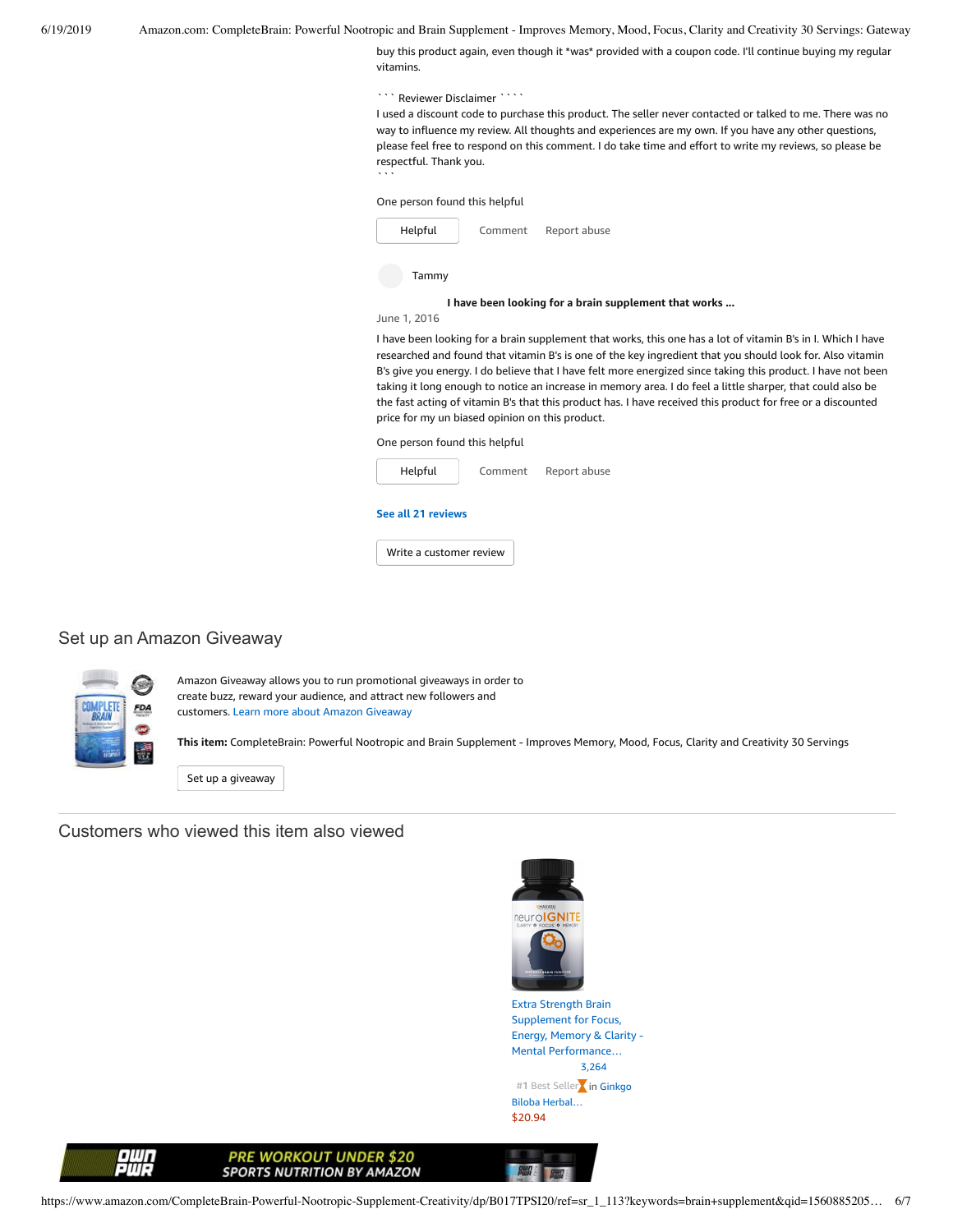buy this product again, even though it \*was\* provided with a coupon code. I'll continue buying my regular vitamins.

Reviewer Disclaimer ````

I used a discount code to purchase this product. The seller never contacted or talked to me. There was no way to influence my review. All thoughts and experiences are my own. If you have any other questions, please feel free to respond on this comment. I do take time and effort to write my reviews, so please be respectful. Thank you.

One person found this helpful

 $\ddot{\phantom{a}}$ 



June 1, 2016

I have been looking for a brain supplement that works, this one has a lot of vitamin B's in I. Which I have researched and found that vitamin B's is one of the key ingredient that you should look for. Also vitamin B's give you energy. I do believe that I have felt more energized since taking this product. I have not been taking it long enough to notice an increase in memory area. I do feel a little sharper, that could also be the fast acting of vitamin B's that this product has. I have received this product for free or a discounted price for my un biased opinion on this product.

One person found this helpful



# Set up an Amazon Giveaway



Amazon Giveaway allows you to run promotional giveaways in order to create buzz, reward your audience, and attract new followers and customers. Learn more about Amazon [Giveaway](https://www.amazon.com/gp/giveaway/home?ref=aga_dp_lm)

**This item:** CompleteBrain: Powerful Nootropic and Brain Supplement - Improves Memory, Mood, Focus, Clarity and Creativity 30 Servings

Set up a [giveaway](https://www.amazon.com/giveaway/host/setup/ref=aga_h_su_dp?_encoding=UTF8&asin=B017TPSI20)

Customers who viewed this item also viewed



**POWER & POWER** 

Extra Strength Brain Supplement for Focus, Energy, Memory & Clarity - Mental [Performance…](https://www.amazon.com/Havasu-Nutrition-Strength-Supplement-Clarity/dp/B01J46SZUW/ref=pd_sbs_121_1/143-6729050-3493109?_encoding=UTF8&pd_rd_i=B01J46SZUW&pd_rd_r=d4725938-92aa-11e9-87cf-a7abbaf07c71&pd_rd_w=qR0aE&pd_rd_wg=nfEEw&pf_rd_p=588939de-d3f8-42f1-a3d8-d556eae5797d&pf_rd_r=NTRGNJYRB98CYPK434JA&psc=1&refRID=NTRGNJYRB98CYPK434JA) [3,264](https://www.amazon.com/product-reviews/B01J46SZUW/ref=pd_sbs_121_cr_1/143-6729050-3493109?ie=UTF8&pd_rd_i=B01J46SZUW&pd_rd_r=d4725938-92aa-11e9-87cf-a7abbaf07c71&pd_rd_w=qR0aE&pd_rd_wg=nfEEw&pf_rd_p=588939de-d3f8-42f1-a3d8-d556eae5797d&pf_rd_r=NTRGNJYRB98CYPK434JA&refRID=NTRGNJYRB98CYPK434JA) #1 Best Seller**kin Ginkgo** Biloba [Herbal…](https://www.amazon.com/gp/bestsellers/hpc/3765701/ref=zg_b_bs_3765701_1/ref=pd_sbs_121_bsb_1/143-6729050-3493109?ie=UTF8&pd_rd_i=B01J46SZUW&pd_rd_r=d4725938-92aa-11e9-87cf-a7abbaf07c71&pd_rd_w=qR0aE&pd_rd_wg=nfEEw&pf_rd_p=588939de-d3f8-42f1-a3d8-d556eae5797d&pf_rd_r=NTRGNJYRB98CYPK434JA&refRID=NTRGNJYRB98CYPK434JA) [\\$20.94](https://www.amazon.com/Havasu-Nutrition-Strength-Supplement-Clarity/dp/B01J46SZUW/ref=pd_sbs_121_1/143-6729050-3493109?_encoding=UTF8&pd_rd_i=B01J46SZUW&pd_rd_r=d4725938-92aa-11e9-87cf-a7abbaf07c71&pd_rd_w=qR0aE&pd_rd_wg=nfEEw&pf_rd_p=588939de-d3f8-42f1-a3d8-d556eae5797d&pf_rd_r=NTRGNJYRB98CYPK434JA&psc=1&refRID=NTRGNJYRB98CYPK434JA)



**PRE WORKOUT UNDER \$20 SPORTS NUTRITION BY AMAZON**